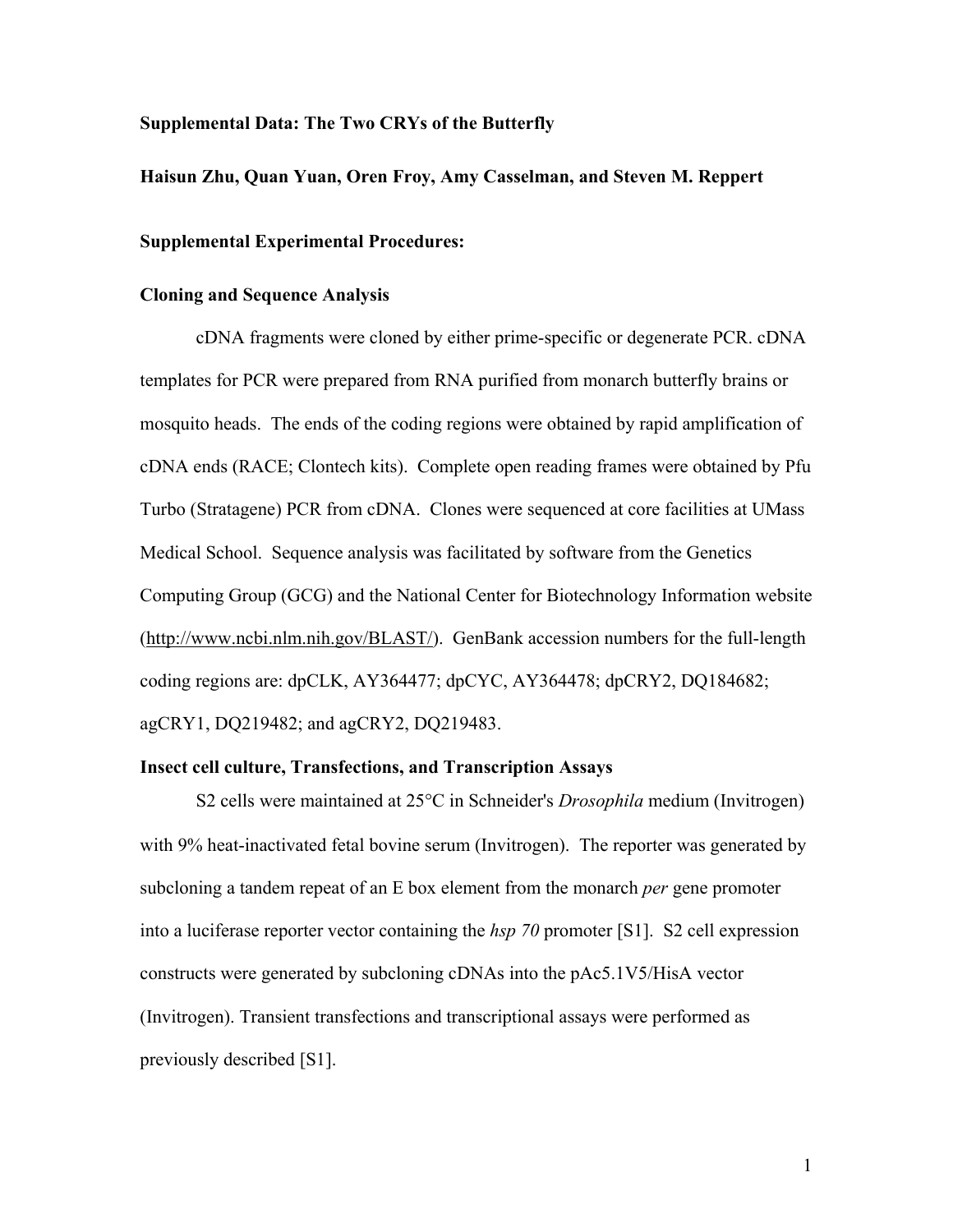### **Supplemental Data: The Two CRYs of the Butterfly**

#### **Haisun Zhu, Quan Yuan, Oren Froy, Amy Casselman, and Steven M. Reppert**

#### **Supplemental Experimental Procedures:**

### **Cloning and Sequence Analysis**

cDNA fragments were cloned by either prime-specific or degenerate PCR. cDNA templates for PCR were prepared from RNA purified from monarch butterfly brains or mosquito heads. The ends of the coding regions were obtained by rapid amplification of cDNA ends (RACE; Clontech kits). Complete open reading frames were obtained by Pfu Turbo (Stratagene) PCR from cDNA. Clones were sequenced at core facilities at UMass Medical School. Sequence analysis was facilitated by software from the Genetics Computing Group (GCG) and the National Center for Biotechnology Information website (http://www.ncbi.nlm.nih.gov/BLAST/). GenBank accession numbers for the full-length coding regions are: dpCLK, AY364477; dpCYC, AY364478; dpCRY2, DQ184682; agCRY1, DQ219482; and agCRY2, DQ219483.

## **Insect cell culture, Transfections, and Transcription Assays**

S2 cells were maintained at 25<sup>o</sup>C in Schneider's *Drosophila* medium (Invitrogen) with 9% heat-inactivated fetal bovine serum (Invitrogen). The reporter was generated by subcloning a tandem repeat of an E box element from the monarch *per* gene promoter into a luciferase reporter vector containing the *hsp 70* promoter [S1]. S2 cell expression constructs were generated by subcloning cDNAs into the pAc5.1V5/HisA vector (Invitrogen). Transient transfections and transcriptional assays were performed as previously described [S1].

1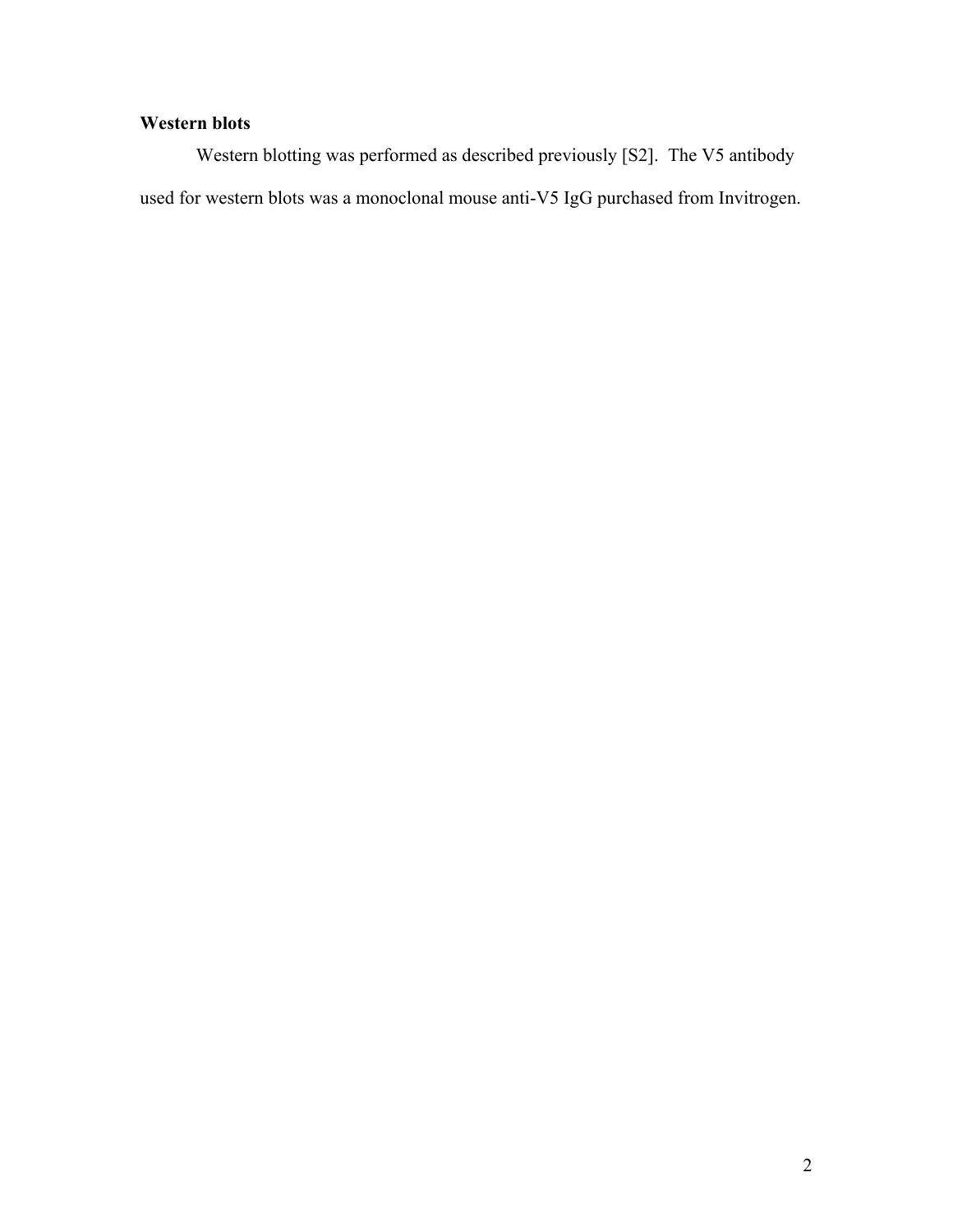# **Western blots**

Western blotting was performed as described previously [S2]. The V5 antibody used for western blots was a monoclonal mouse anti-V5 IgG purchased from Invitrogen.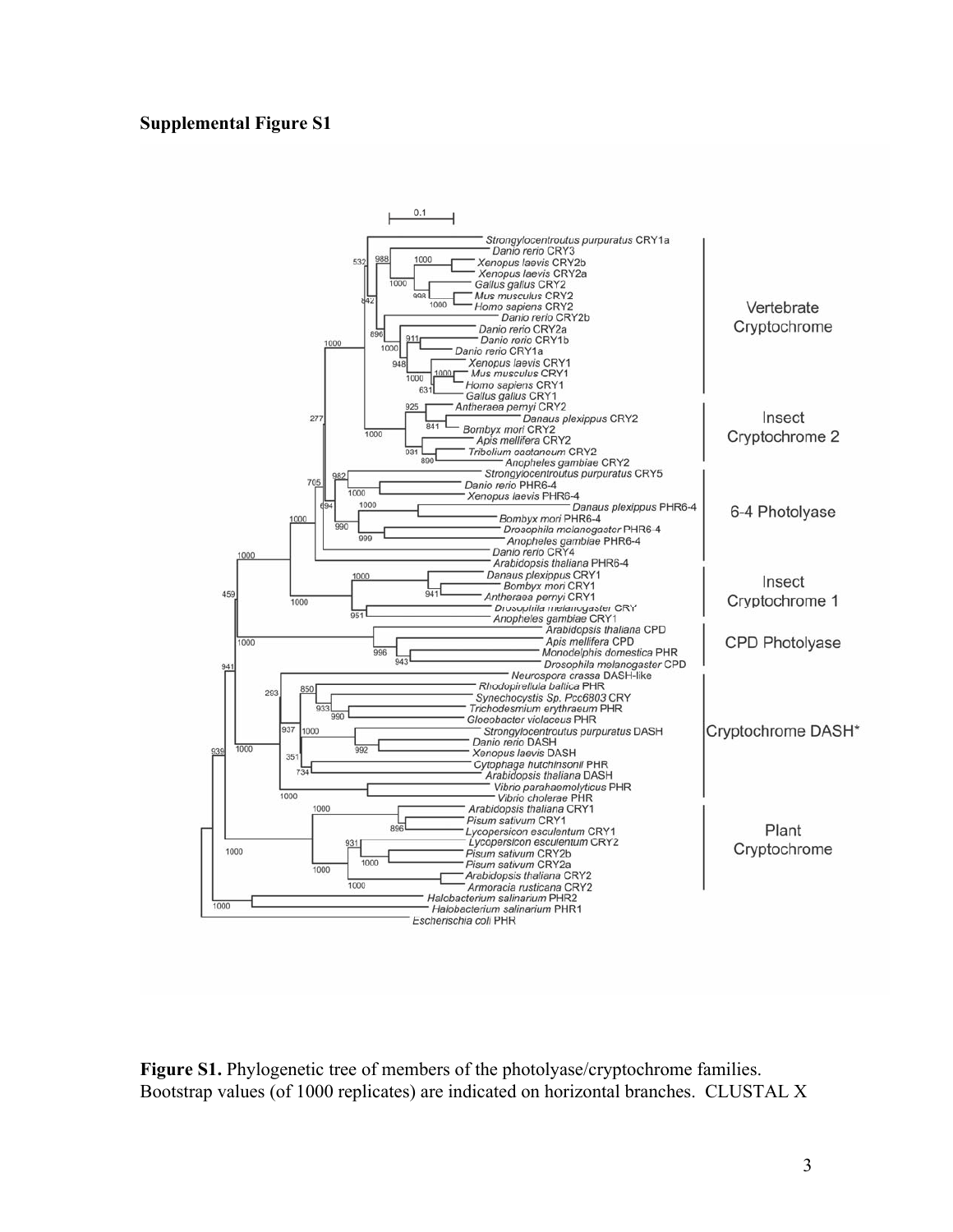# **Supplemental Figure S1**



**Figure S1.** Phylogenetic tree of members of the photolyase/cryptochrome families. Bootstrap values (of 1000 replicates) are indicated on horizontal branches. CLUSTAL X